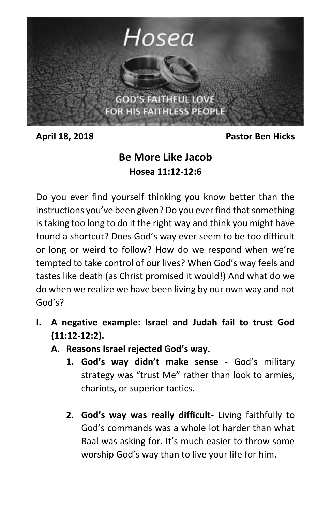

**April 18, 2018 Pastor Ben Hicks**

## **Be More Like Jacob Hosea 11:12-12:6**

Do you ever find yourself thinking you know better than the instructions you've been given? Do you ever find that something is taking too long to do it the right way and think you might have found a shortcut? Does God's way ever seem to be too difficult or long or weird to follow? How do we respond when we're tempted to take control of our lives? When God's way feels and tastes like death (as Christ promised it would!) And what do we do when we realize we have been living by our own way and not God's?

- **I. A negative example: Israel and Judah fail to trust God (11:12-12:2).**
	- **A. Reasons Israel rejected God's way.**
		- **1. God's way didn't make sense -** God's military strategy was "trust Me" rather than look to armies, chariots, or superior tactics.
		- **2. God's way was really difficult-** Living faithfully to God's commands was a whole lot harder than what Baal was asking for. It's much easier to throw some worship God's way than to live your life for him.